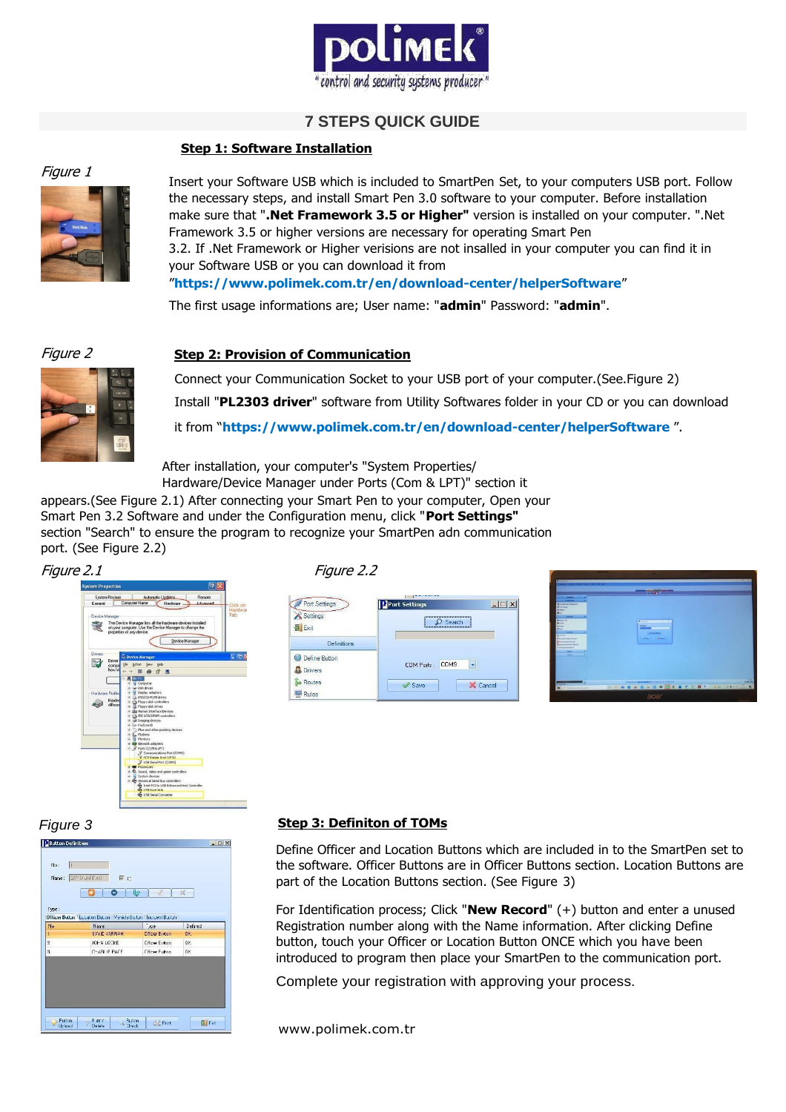

# **7 STEPS QUICK GUIDE**

# **Step 1: Software Installation**



Insert your Software USB which is included to SmartPen Set, to your computers USB port. Follow the necessary steps, and install Smart Pen 3.0 software to your computer. Before installation make sure that "**.Net Framework 3.5 or Higher"** version is installed on your computer. ".Net Framework 3.5 or higher versions are necessary for operating Smart Pen 3.2. If .Net Framework or Higher verisions are not insalled in your computer you can find it in your Software USB or you can download it from "**https:[//www.polimek.com.tr/en/download-center/helperSoftware](http://www.polimek.com.tr/en/download-center/helperSoftware)**"

The first usage informations are; User name: "**admin**" Password: "**admin**".

# Figure 2 **Step 2: Provision of Communication**



Connect your Communication Socket to your USB port of your computer.(See.Figure 2) Install "**PL2303 driver**" software from Utility Softwares folder in your CD or you can download it from "**https:[//www.polimek.com.tr/en/download-center/helperSoftware](http://www.polimek.com.tr/en/download-center/helperSoftware)** ".

After installation, your computer's "System Properties/

Hardware/Device Manager under Ports (Com & LPT)" section it appears.(See Figure 2.1) After connecting your Smart Pen to your computer, Open your Smart Pen 3.2 Software and under the Configuration menu, click "**Port Settings"**  section "Search" to ensure the program to recognize your SmartPen adn communication port. (See Figure 2.2)





| Port Settings            | Deort Settings                 |
|--------------------------|--------------------------------|
| Settings<br>$2$ Exit     | Search                         |
| Definitions              |                                |
| Define Button<br>Drivers | COM <sub>9</sub><br>COM Ports: |
| Routes<br>Rules          | Cancel<br>Save                 |





# *Figure 3* **Step 3: Definiton of TOMs**

Define Officer and Location Buttons which are included in to the SmartPen set to the software. Officer Buttons are in Officer Buttons section. Location Buttons are part of the Location Buttons section. (See Figure 3)

For Identification process; Click "**New Record**" (+) button and enter a unused Registration number along with the Name information. After clicking Define button, touch your Officer or Location Button ONCE which you have been introduced to program then place your SmartPen to the communication port.

Complete your registration with approving your process.

[www.polimek.com.tr](http://www.polimek.com.tr/)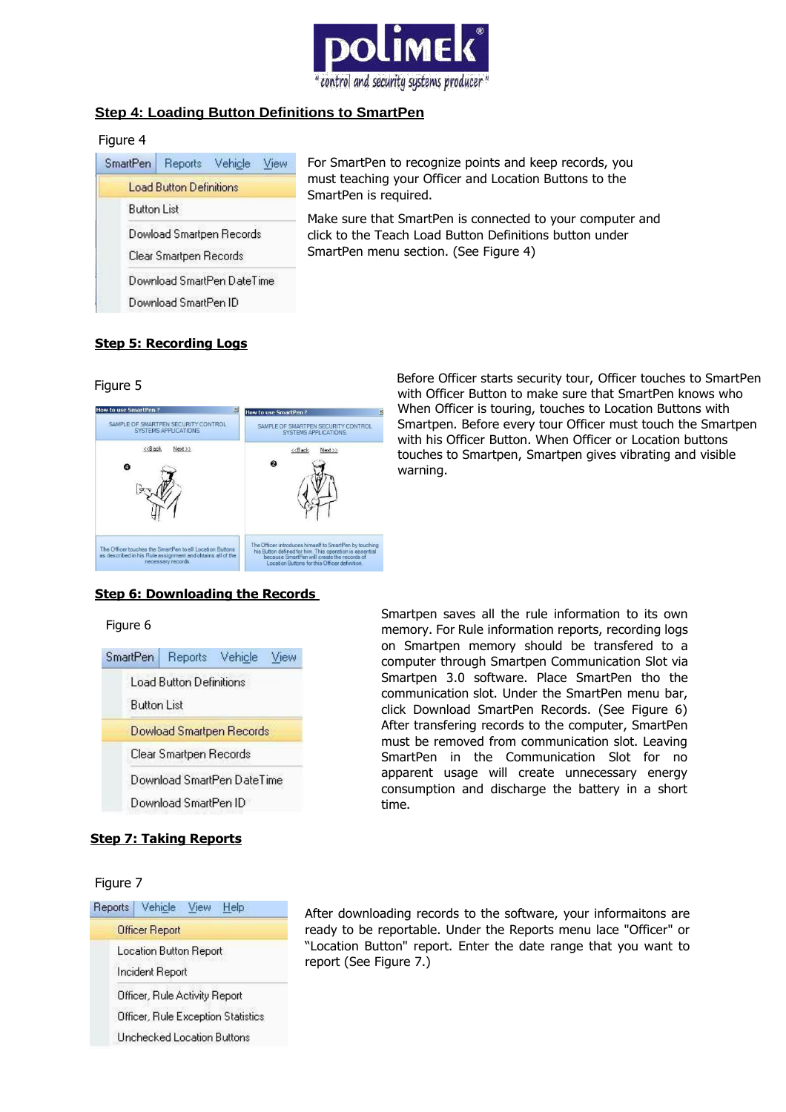

# **Step 4: Loading Button Definitions to SmartPen**

### Figure 4



For SmartPen to recognize points and keep records, you must teaching your Officer and Location Buttons to the SmartPen is required.

Make sure that SmartPen is connected to your computer and click to the Teach Load Button Definitions button under SmartPen menu section. (See Figure 4)

# **Step 5: Recording Logs**

### Figure 5



 Before Officer starts security tour, Officer touches to SmartPen with Officer Button to make sure that SmartPen knows who When Officer is touring, touches to Location Buttons with Smartpen. Before every tour Officer must touch the Smartpen with his Officer Button. When Officer or Location buttons touches to Smartpen, Smartpen gives vibrating and visible warning.

# **Step 6: Downloading the Records**

#### Figure 6

| SmartPen Reports Vehicle View |                            |  |
|-------------------------------|----------------------------|--|
|                               | Load Button Definitions    |  |
| <b>Button List</b>            |                            |  |
|                               | Dowload Smartpen Records   |  |
|                               | Clear Smartpen Records     |  |
|                               | Download SmartPen DateTime |  |
|                               | Download SmartPen ID       |  |

# **Step 7: Taking Reports**

#### Figure 7

| Reports Vehicle View Help          |  |  |  |  |
|------------------------------------|--|--|--|--|
| Officer Report                     |  |  |  |  |
| Location Button Report             |  |  |  |  |
| Incident Report                    |  |  |  |  |
| Officer, Rule Activity Report      |  |  |  |  |
| Officer, Rule Exception Statistics |  |  |  |  |
| Unchecked Location Buttons         |  |  |  |  |

Smartpen saves all the rule information to its own memory. For Rule information reports, recording logs on Smartpen memory should be transfered to a computer through Smartpen Communication Slot via Smartpen 3.0 software. Place SmartPen tho the communication slot. Under the SmartPen menu bar, click Download SmartPen Records. (See Figure 6) After transfering records to the computer, SmartPen must be removed from communication slot. Leaving SmartPen in the Communication Slot for no apparent usage will create unnecessary energy consumption and discharge the battery in a short time.

After downloading records to the software, your informaitons are ready to be reportable. Under the Reports menu lace "Officer" or "Location Button" report. Enter the date range that you want to report (See Figure 7.)